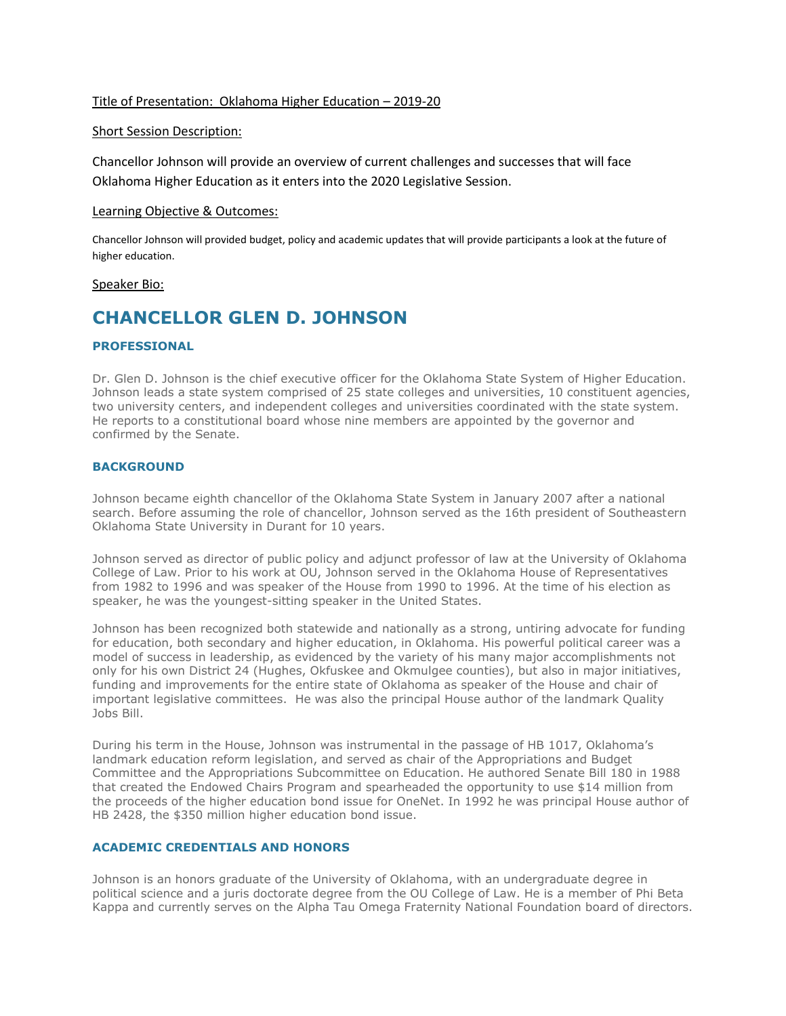## Title of Presentation: Oklahoma Higher Education – 2019-20

### Short Session Description:

Chancellor Johnson will provide an overview of current challenges and successes that will face Oklahoma Higher Education as it enters into the 2020 Legislative Session.

### Learning Objective & Outcomes:

Chancellor Johnson will provided budget, policy and academic updates that will provide participants a look at the future of higher education.

#### Speaker Bio:

# **CHANCELLOR GLEN D. JOHNSON**

### **PROFESSIONAL**

Dr. Glen D. Johnson is the chief executive officer for the Oklahoma State System of Higher Education. Johnson leads a state system comprised of 25 state colleges and universities, 10 constituent agencies, two university centers, and independent colleges and universities coordinated with the state system. He reports to a constitutional board whose nine members are appointed by the governor and confirmed by the Senate.

### **BACKGROUND**

Johnson became eighth chancellor of the Oklahoma State System in January 2007 after a national search. Before assuming the role of chancellor, Johnson served as the 16th president of Southeastern Oklahoma State University in Durant for 10 years.

Johnson served as director of public policy and adjunct professor of law at the University of Oklahoma College of Law. Prior to his work at OU, Johnson served in the Oklahoma House of Representatives from 1982 to 1996 and was speaker of the House from 1990 to 1996. At the time of his election as speaker, he was the youngest-sitting speaker in the United States.

Johnson has been recognized both statewide and nationally as a strong, untiring advocate for funding for education, both secondary and higher education, in Oklahoma. His powerful political career was a model of success in leadership, as evidenced by the variety of his many major accomplishments not only for his own District 24 (Hughes, Okfuskee and Okmulgee counties), but also in major initiatives, funding and improvements for the entire state of Oklahoma as speaker of the House and chair of important legislative committees. He was also the principal House author of the landmark Quality Jobs Bill.

During his term in the House, Johnson was instrumental in the passage of HB 1017, Oklahoma's landmark education reform legislation, and served as chair of the Appropriations and Budget Committee and the Appropriations Subcommittee on Education. He authored Senate Bill 180 in 1988 that created the Endowed Chairs Program and spearheaded the opportunity to use \$14 million from the proceeds of the higher education bond issue for OneNet. In 1992 he was principal House author of HB 2428, the \$350 million higher education bond issue.

## **ACADEMIC CREDENTIALS AND HONORS**

Johnson is an honors graduate of the University of Oklahoma, with an undergraduate degree in political science and a juris doctorate degree from the OU College of Law. He is a member of Phi Beta Kappa and currently serves on the Alpha Tau Omega Fraternity National Foundation board of directors.